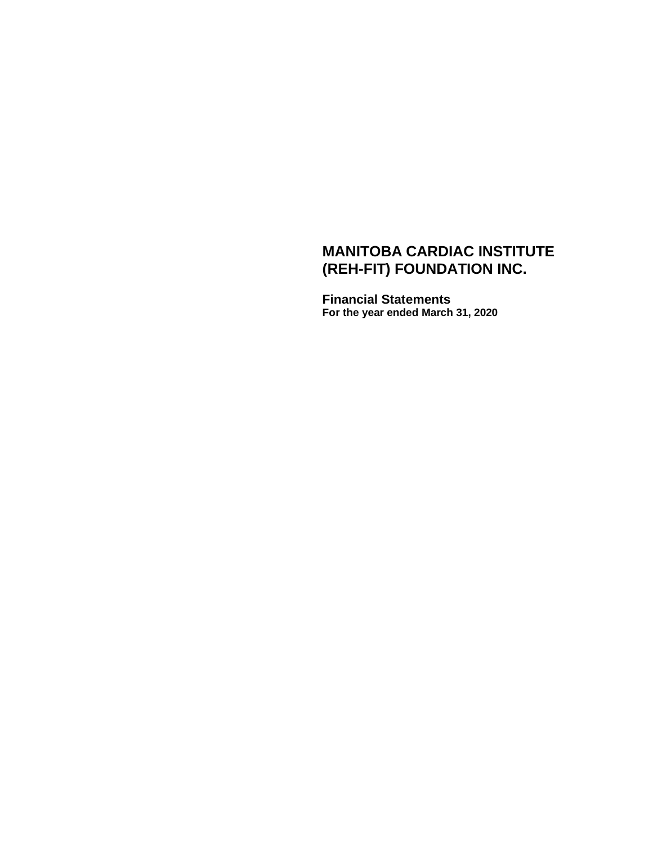### **MANITOBA CARDIAC INSTITUTE (REH-FIT) FOUNDATION INC.**

**Financial Statements For the year ended March 31, 2020**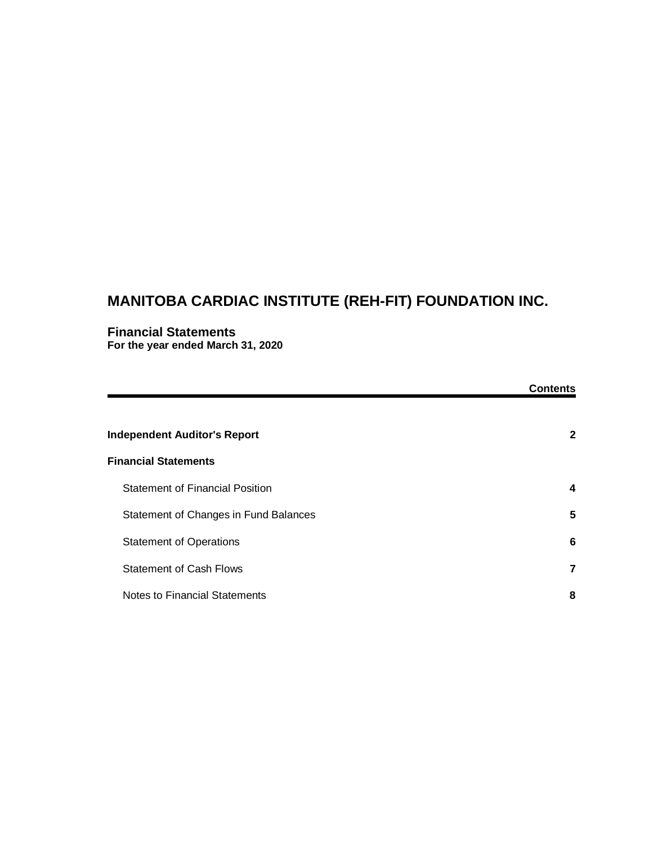# **MANITOBA CARDIAC INSTITUTE (REH-FIT) FOUNDATION INC.**

### **Financial Statements**

**For the year ended March 31, 2020**

|                                        | <b>Contents</b> |
|----------------------------------------|-----------------|
|                                        |                 |
| <b>Independent Auditor's Report</b>    | $\mathbf{2}$    |
| <b>Financial Statements</b>            |                 |
| <b>Statement of Financial Position</b> | 4               |
| Statement of Changes in Fund Balances  | 5               |
| <b>Statement of Operations</b>         | 6               |
| <b>Statement of Cash Flows</b>         | 7               |
| Notes to Financial Statements          | 8               |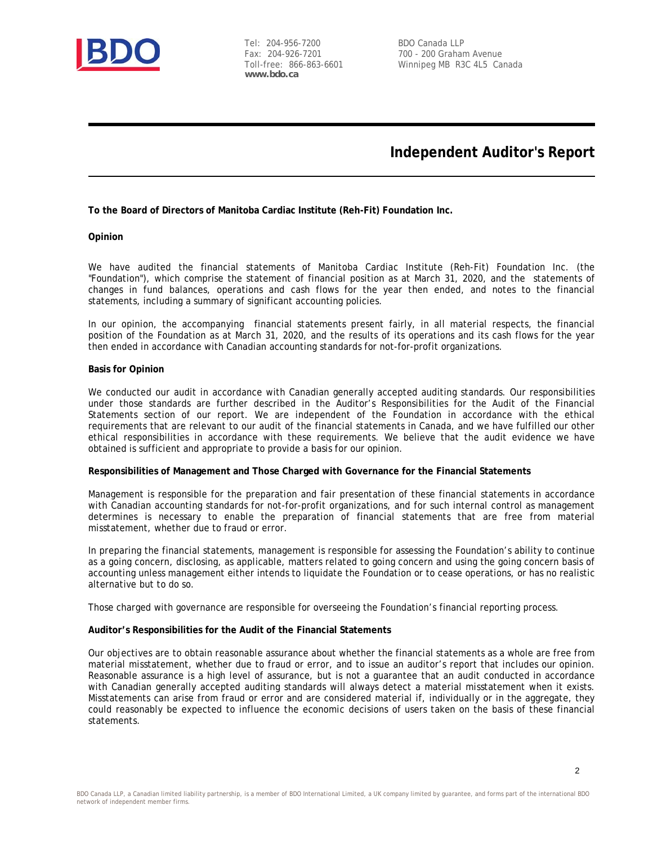

Tel: 204-956-7200 Fax: 204-926-7201 Toll-free: 866-863-6601 **www.bdo.ca**

BDO Canada LLP 700 - 200 Graham Avenue Winnipeg MB R3C 4L5 Canada

### **Independent Auditor's Report**

**To the Board of Directors of Manitoba Cardiac Institute (Reh-Fit) Foundation Inc.**

**Opinion**

We have audited the financial statements of Manitoba Cardiac Institute (Reh-Fit) Foundation Inc. (the "Foundation"), which comprise the statement of financial position as at March 31, 2020, and the statements of changes in fund balances, operations and cash flows for the year then ended, and notes to the financial statements, including a summary of significant accounting policies.

In our opinion, the accompanying financial statements present fairly, in all material respects, the financial position of the Foundation as at March 31, 2020, and the results of its operations and its cash flows for the year then ended in accordance with Canadian accounting standards for not-for-profit organizations.

#### **Basis for Opinion**

We conducted our audit in accordance with Canadian generally accepted auditing standards. Our responsibilities under those standards are further described in the Auditor's Responsibilities for the Audit of the Financial Statements section of our report. We are independent of the Foundation in accordance with the ethical requirements that are relevant to our audit of the financial statements in Canada, and we have fulfilled our other ethical responsibilities in accordance with these requirements. We believe that the audit evidence we have obtained is sufficient and appropriate to provide a basis for our opinion.

**Responsibilities of Management and Those Charged with Governance for the Financial Statements**

Management is responsible for the preparation and fair presentation of these financial statements in accordance with Canadian accounting standards for not-for-profit organizations, and for such internal control as management determines is necessary to enable the preparation of financial statements that are free from material misstatement, whether due to fraud or error.

In preparing the financial statements, management is responsible for assessing the Foundation's ability to continue as a going concern, disclosing, as applicable, matters related to going concern and using the going concern basis of accounting unless management either intends to liquidate the Foundation or to cease operations, or has no realistic alternative but to do so.

Those charged with governance are responsible for overseeing the Foundation's financial reporting process.

**Auditor's Responsibilities for the Audit of the Financial Statements**

Our objectives are to obtain reasonable assurance about whether the financial statements as a whole are free from material misstatement, whether due to fraud or error, and to issue an auditor's report that includes our opinion. Reasonable assurance is a high level of assurance, but is not a guarantee that an audit conducted in accordance with Canadian generally accepted auditing standards will always detect a material misstatement when it exists. Misstatements can arise from fraud or error and are considered material if, individually or in the aggregate, they could reasonably be expected to influence the economic decisions of users taken on the basis of these financial statements.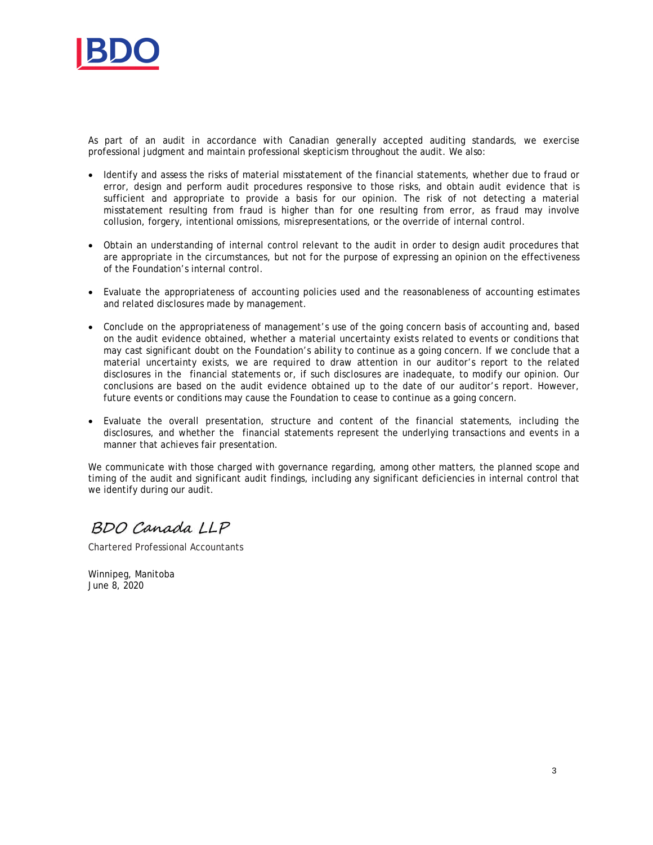

As part of an audit in accordance with Canadian generally accepted auditing standards, we exercise professional judgment and maintain professional skepticism throughout the audit. We also:

- · Identify and assess the risks of material misstatement of the financial statements, whether due to fraud or error, design and perform audit procedures responsive to those risks, and obtain audit evidence that is sufficient and appropriate to provide a basis for our opinion. The risk of not detecting a material misstatement resulting from fraud is higher than for one resulting from error, as fraud may involve collusion, forgery, intentional omissions, misrepresentations, or the override of internal control.
- · Obtain an understanding of internal control relevant to the audit in order to design audit procedures that are appropriate in the circumstances, but not for the purpose of expressing an opinion on the effectiveness of the Foundation's internal control.
- · Evaluate the appropriateness of accounting policies used and the reasonableness of accounting estimates and related disclosures made by management.
- · Conclude on the appropriateness of management's use of the going concern basis of accounting and, based on the audit evidence obtained, whether a material uncertainty exists related to events or conditions that may cast significant doubt on the Foundation's ability to continue as a going concern. If we conclude that a material uncertainty exists, we are required to draw attention in our auditor's report to the related disclosures in the financial statements or, if such disclosures are inadequate, to modify our opinion. Our conclusions are based on the audit evidence obtained up to the date of our auditor's report. However, future events or conditions may cause the Foundation to cease to continue as a going concern.
- · Evaluate the overall presentation, structure and content of the financial statements, including the disclosures, and whether the financial statements represent the underlying transactions and events in a manner that achieves fair presentation.

We communicate with those charged with governance regarding, among other matters, the planned scope and timing of the audit and significant audit findings, including any significant deficiencies in internal control that we identify during our audit.

BDO Canada LLP

Chartered Professional Accountants

Winnipeg, Manitoba June 8, 2020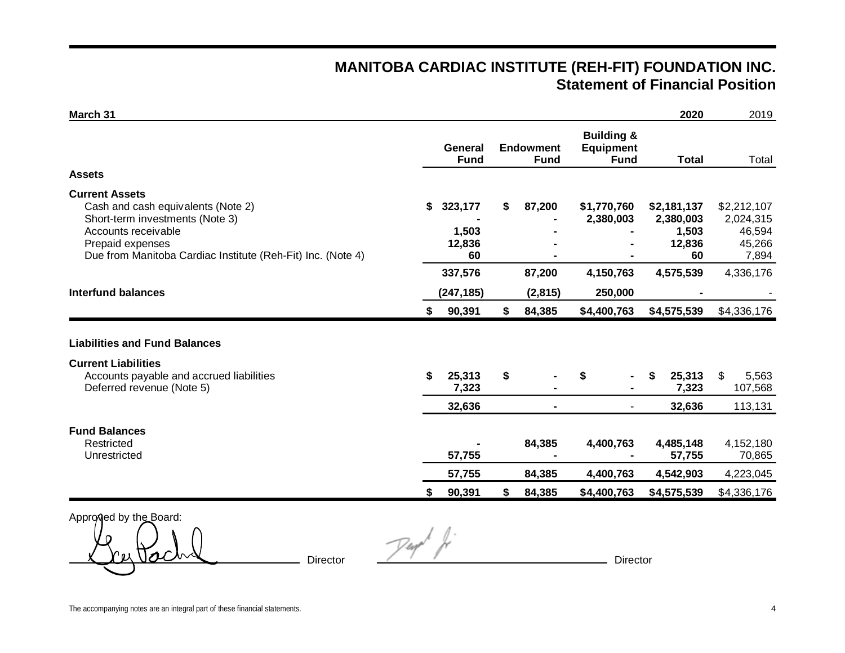# **MANITOBA CARDIAC INSTITUTE (REH-FIT) FOUNDATION INC. Statement of Financial Position**

| March 31                                                                                                                                                                                                 |    |                                  |    |                                 |                                                          | 2020                                              | 2019                                                  |
|----------------------------------------------------------------------------------------------------------------------------------------------------------------------------------------------------------|----|----------------------------------|----|---------------------------------|----------------------------------------------------------|---------------------------------------------------|-------------------------------------------------------|
| <b>Assets</b>                                                                                                                                                                                            |    | <b>General</b><br><b>Fund</b>    |    | <b>Endowment</b><br><b>Fund</b> | <b>Building &amp;</b><br><b>Equipment</b><br><b>Fund</b> | <b>Total</b>                                      | Total                                                 |
|                                                                                                                                                                                                          |    |                                  |    |                                 |                                                          |                                                   |                                                       |
| <b>Current Assets</b><br>Cash and cash equivalents (Note 2)<br>Short-term investments (Note 3)<br>Accounts receivable<br>Prepaid expenses<br>Due from Manitoba Cardiac Institute (Reh-Fit) Inc. (Note 4) | \$ | 323,177<br>1,503<br>12,836<br>60 | S. | 87,200                          | \$1,770,760<br>2,380,003                                 | \$2,181,137<br>2,380,003<br>1,503<br>12,836<br>60 | \$2,212,107<br>2,024,315<br>46,594<br>45,266<br>7,894 |
|                                                                                                                                                                                                          |    | 337,576                          |    | 87,200                          | 4,150,763                                                | 4,575,539                                         | 4,336,176                                             |
| <b>Interfund balances</b>                                                                                                                                                                                |    | (247, 185)                       |    | (2, 815)                        | 250,000                                                  |                                                   |                                                       |
|                                                                                                                                                                                                          | S. | 90,391                           | \$ | 84,385                          | \$4,400,763                                              | \$4,575,539                                       | \$4,336,176                                           |
| <b>Liabilities and Fund Balances</b><br><b>Current Liabilities</b><br>Accounts payable and accrued liabilities<br>Deferred revenue (Note 5)                                                              | S  | 25,313<br>7,323                  | \$ |                                 | S                                                        | 25,313<br>S<br>7,323                              | 5,563<br>S.<br>107,568                                |
|                                                                                                                                                                                                          |    | 32,636                           |    |                                 |                                                          | 32,636                                            | 113,131                                               |
| <b>Fund Balances</b><br>Restricted<br>Unrestricted                                                                                                                                                       |    | 57,755<br>57,755                 |    | 84,385<br>84,385                | 4,400,763<br>4,400,763                                   | 4,485,148<br>57,755<br>4,542,903                  | 4,152,180<br>70,865<br>4,223,045                      |
|                                                                                                                                                                                                          |    | 90,391                           | \$ | 84,385                          | \$4,400,763                                              | \$4,575,539                                       | \$4,336,176                                           |
| Approved by the Board:<br>Director                                                                                                                                                                       |    |                                  |    |                                 | Director                                                 |                                                   |                                                       |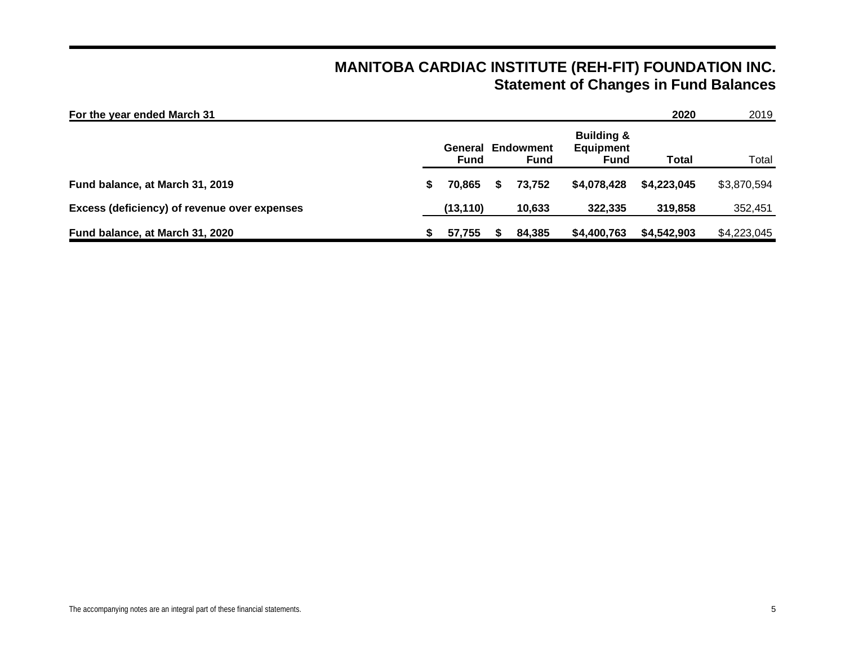### **MANITOBA CARDIAC INSTITUTE (REH-FIT) FOUNDATION INC. Statement of Changes in Fund Balances**

| For the year ended March 31                  |    |                        |   |                          |                                                          | 2020        | 2019        |
|----------------------------------------------|----|------------------------|---|--------------------------|----------------------------------------------------------|-------------|-------------|
|                                              |    | General<br><b>Fund</b> |   | Endowment<br><b>Fund</b> | <b>Building &amp;</b><br><b>Equipment</b><br><b>Fund</b> | Total       | Total       |
| Fund balance, at March 31, 2019              | S. | 70.865                 | S | 73.752                   | \$4,078,428                                              | \$4,223,045 | \$3,870,594 |
| Excess (deficiency) of revenue over expenses |    | (13, 110)              |   | 10,633                   | 322,335                                                  | 319,858     | 352,451     |
| Fund balance, at March 31, 2020              |    | 57,755                 |   | 84,385                   | \$4,400,763                                              | \$4,542,903 | \$4,223,045 |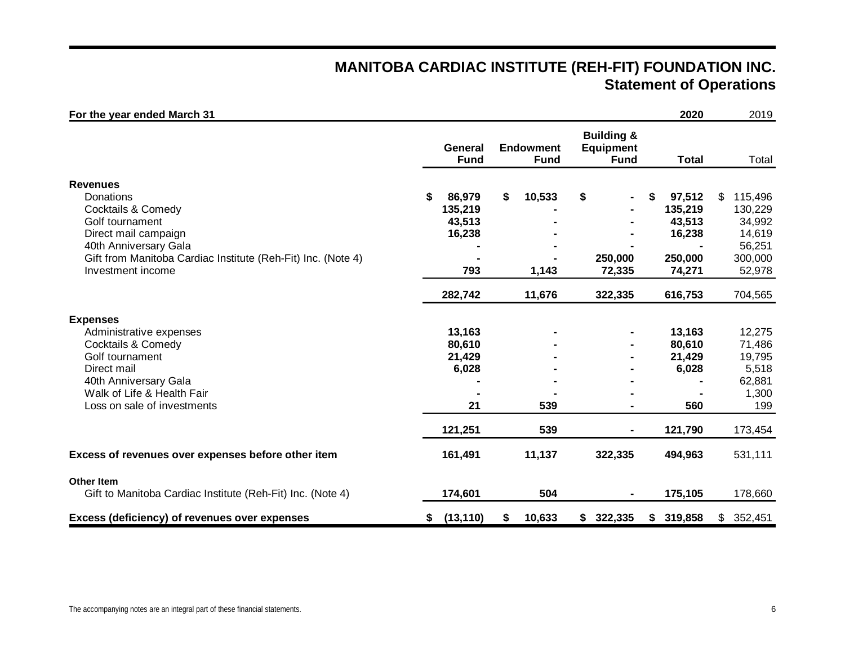### **MANITOBA CARDIAC INSTITUTE (REH-FIT) FOUNDATION INC. Statement of Operations**

| For the year ended March 31                                  |                        |                                 |                                                          | 2020          | 2019           |
|--------------------------------------------------------------|------------------------|---------------------------------|----------------------------------------------------------|---------------|----------------|
|                                                              | General<br><b>Fund</b> | <b>Endowment</b><br><b>Fund</b> | <b>Building &amp;</b><br><b>Equipment</b><br><b>Fund</b> | <b>Total</b>  | Total          |
| <b>Revenues</b>                                              |                        |                                 |                                                          |               |                |
| Donations                                                    | \$<br>86,979           | \$<br>10,533                    | \$                                                       | 97,512<br>\$  | 115,496<br>\$. |
| <b>Cocktails &amp; Comedy</b>                                | 135,219                |                                 |                                                          | 135,219       | 130,229        |
| Golf tournament                                              | 43,513                 |                                 |                                                          | 43,513        | 34,992         |
| Direct mail campaign                                         | 16,238                 |                                 |                                                          | 16,238        | 14,619         |
| 40th Anniversary Gala                                        |                        |                                 |                                                          |               | 56,251         |
| Gift from Manitoba Cardiac Institute (Reh-Fit) Inc. (Note 4) |                        |                                 | 250,000                                                  | 250,000       | 300,000        |
| Investment income                                            | 793                    | 1,143                           | 72,335                                                   | 74,271        | 52,978         |
|                                                              | 282,742                | 11,676                          | 322,335                                                  | 616,753       | 704,565        |
| <b>Expenses</b>                                              |                        |                                 |                                                          |               |                |
| Administrative expenses                                      | 13,163                 |                                 |                                                          | 13,163        | 12,275         |
| Cocktails & Comedy                                           | 80,610                 |                                 |                                                          | 80,610        | 71,486         |
| Golf tournament                                              | 21,429                 |                                 |                                                          | 21,429        | 19,795         |
| Direct mail                                                  | 6,028                  |                                 |                                                          | 6,028         | 5,518          |
| 40th Anniversary Gala                                        |                        |                                 |                                                          |               | 62,881         |
| Walk of Life & Health Fair                                   |                        |                                 |                                                          |               | 1,300          |
| Loss on sale of investments                                  | 21                     | 539                             |                                                          | 560           | 199            |
|                                                              | 121,251                | 539                             |                                                          | 121,790       | 173,454        |
| Excess of revenues over expenses before other item           | 161,491                | 11,137                          | 322,335                                                  | 494,963       | 531,111        |
| <b>Other Item</b>                                            |                        |                                 |                                                          |               |                |
| Gift to Manitoba Cardiac Institute (Reh-Fit) Inc. (Note 4)   | 174,601                | 504                             |                                                          | 175,105       | 178,660        |
| <b>Excess (deficiency) of revenues over expenses</b>         | \$<br>(13, 110)        | \$<br>10,633                    | \$<br>322,335                                            | 319,858<br>S. | 352,451<br>\$  |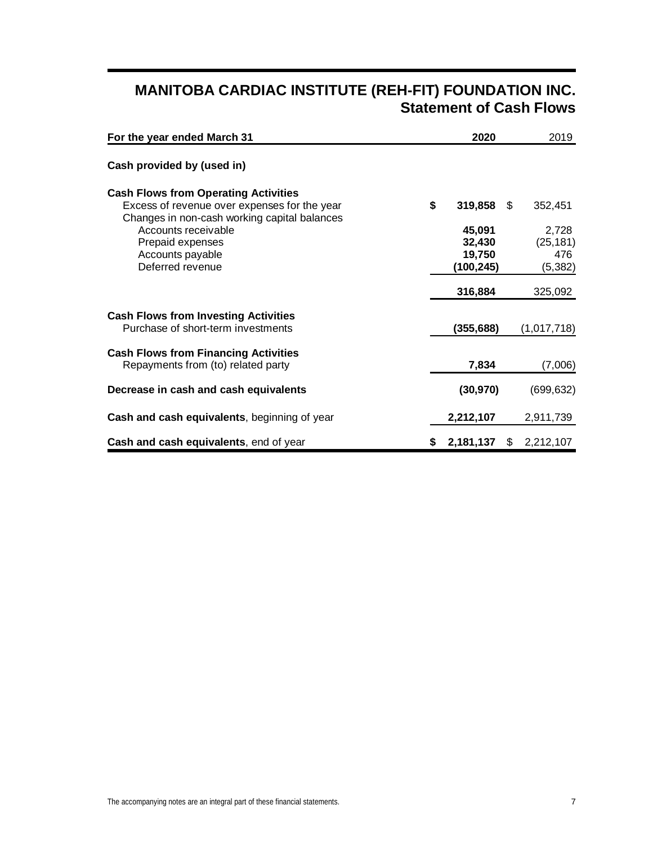# **MANITOBA CARDIAC INSTITUTE (REH-FIT) FOUNDATION INC. Statement of Cash Flows**

| For the year ended March 31                                                                                                                 |    | 2020                                     | 2019                                  |
|---------------------------------------------------------------------------------------------------------------------------------------------|----|------------------------------------------|---------------------------------------|
| Cash provided by (used in)                                                                                                                  |    |                                          |                                       |
| <b>Cash Flows from Operating Activities</b><br>Excess of revenue over expenses for the year<br>Changes in non-cash working capital balances | \$ | 319,858                                  | \$<br>352,451                         |
| Accounts receivable<br>Prepaid expenses<br>Accounts payable<br>Deferred revenue                                                             |    | 45,091<br>32,430<br>19,750<br>(100, 245) | 2,728<br>(25, 181)<br>476<br>(5, 382) |
|                                                                                                                                             |    | 316,884                                  | 325,092                               |
| <b>Cash Flows from Investing Activities</b><br>Purchase of short-term investments                                                           |    | (355, 688)                               | (1,017,718)                           |
| <b>Cash Flows from Financing Activities</b><br>Repayments from (to) related party                                                           |    | 7,834                                    | (7,006)                               |
| Decrease in cash and cash equivalents                                                                                                       |    | (30, 970)                                | (699, 632)                            |
| Cash and cash equivalents, beginning of year                                                                                                |    | 2,212,107                                | 2,911,739                             |
| Cash and cash equivalents, end of year                                                                                                      | S. | 2,181,137                                | \$<br>2,212,107                       |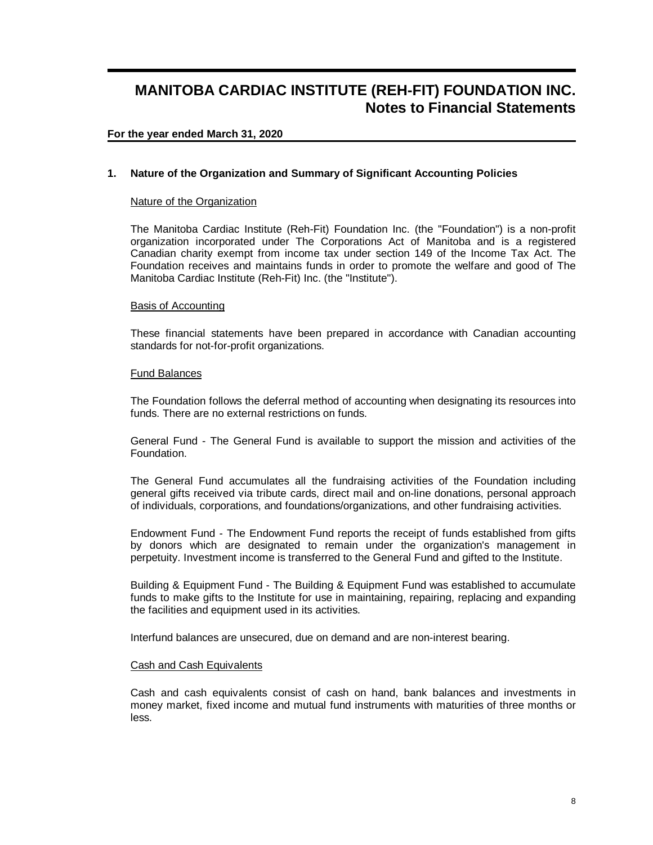#### **For the year ended March 31, 2020**

#### **1. Nature of the Organization and Summary of Significant Accounting Policies**

#### Nature of the Organization

The Manitoba Cardiac Institute (Reh-Fit) Foundation Inc. (the "Foundation") is a non-profit organization incorporated under The Corporations Act of Manitoba and is a registered Canadian charity exempt from income tax under section 149 of the Income Tax Act. The Foundation receives and maintains funds in order to promote the welfare and good of The Manitoba Cardiac Institute (Reh-Fit) Inc. (the "Institute").

#### Basis of Accounting

These financial statements have been prepared in accordance with Canadian accounting standards for not-for-profit organizations.

#### Fund Balances

The Foundation follows the deferral method of accounting when designating its resources into funds. There are no external restrictions on funds.

General Fund - The General Fund is available to support the mission and activities of the Foundation.

The General Fund accumulates all the fundraising activities of the Foundation including general gifts received via tribute cards, direct mail and on-line donations, personal approach of individuals, corporations, and foundations/organizations, and other fundraising activities.

Endowment Fund - The Endowment Fund reports the receipt of funds established from gifts by donors which are designated to remain under the organization's management in perpetuity. Investment income is transferred to the General Fund and gifted to the Institute.

Building & Equipment Fund - The Building & Equipment Fund was established to accumulate funds to make gifts to the Institute for use in maintaining, repairing, replacing and expanding the facilities and equipment used in its activities.

Interfund balances are unsecured, due on demand and are non-interest bearing.

#### Cash and Cash Equivalents

Cash and cash equivalents consist of cash on hand, bank balances and investments in money market, fixed income and mutual fund instruments with maturities of three months or less.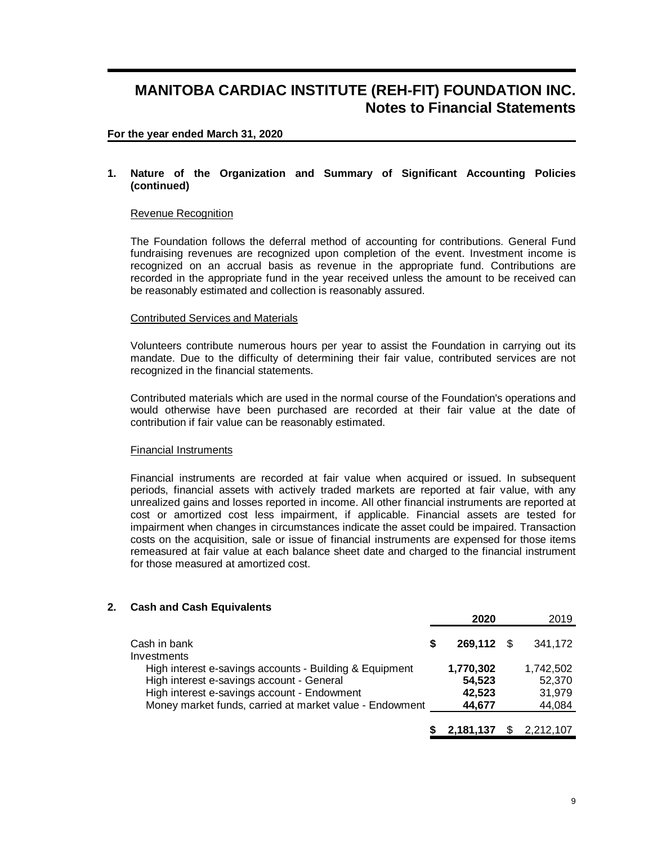#### **For the year ended March 31, 2020**

#### **1. Nature of the Organization and Summary of Significant Accounting Policies (continued)**

#### Revenue Recognition

The Foundation follows the deferral method of accounting for contributions. General Fund fundraising revenues are recognized upon completion of the event. Investment income is recognized on an accrual basis as revenue in the appropriate fund. Contributions are recorded in the appropriate fund in the year received unless the amount to be received can be reasonably estimated and collection is reasonably assured.

#### Contributed Services and Materials

Volunteers contribute numerous hours per year to assist the Foundation in carrying out its mandate. Due to the difficulty of determining their fair value, contributed services are not recognized in the financial statements.

Contributed materials which are used in the normal course of the Foundation's operations and would otherwise have been purchased are recorded at their fair value at the date of contribution if fair value can be reasonably estimated.

#### Financial Instruments

Financial instruments are recorded at fair value when acquired or issued. In subsequent periods, financial assets with actively traded markets are reported at fair value, with any unrealized gains and losses reported in income. All other financial instruments are reported at cost or amortized cost less impairment, if applicable. Financial assets are tested for impairment when changes in circumstances indicate the asset could be impaired. Transaction costs on the acquisition, sale or issue of financial instruments are expensed for those items remeasured at fair value at each balance sheet date and charged to the financial instrument for those measured at amortized cost.

#### **2. Cash and Cash Equivalents**

|                                                         | ∸∽∼                       | <u>_viv</u> |
|---------------------------------------------------------|---------------------------|-------------|
| Cash in bank<br>Investments                             | 269.112 \$                | 341,172     |
| High interest e-savings accounts - Building & Equipment | 1,770,302                 | 1.742.502   |
| High interest e-savings account - General               | 54,523                    | 52,370      |
| High interest e-savings account - Endowment             | 42,523                    | 31,979      |
| Money market funds, carried at market value - Endowment | 44,677                    | 44,084      |
|                                                         | $$2,181,137$ $$2,212,107$ |             |

**2020** 2019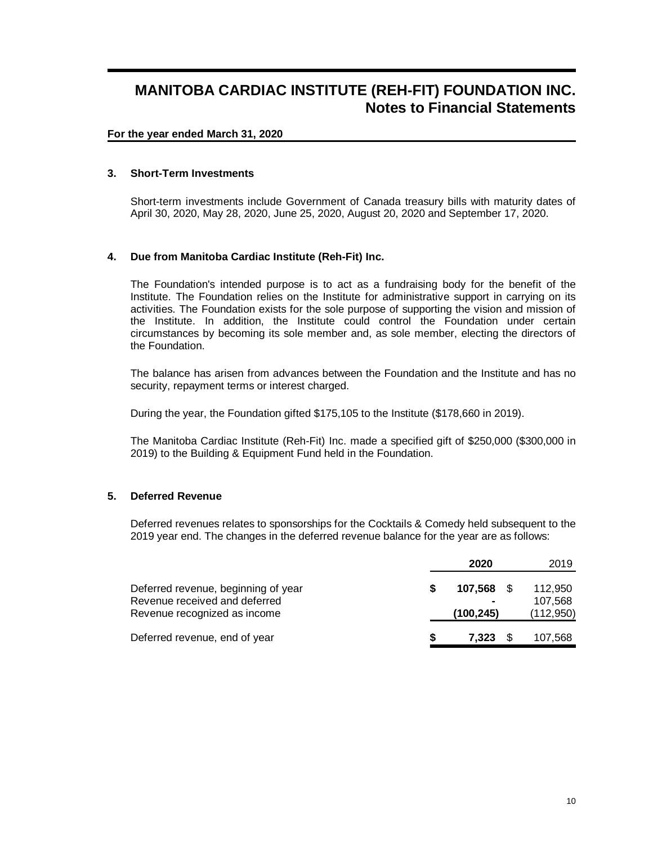#### **For the year ended March 31, 2020**

#### **3. Short-Term Investments**

Short-term investments include Government of Canada treasury bills with maturity dates of April 30, 2020, May 28, 2020, June 25, 2020, August 20, 2020 and September 17, 2020.

#### **4. Due from Manitoba Cardiac Institute (Reh-Fit) Inc.**

The Foundation's intended purpose is to act as a fundraising body for the benefit of the Institute. The Foundation relies on the Institute for administrative support in carrying on its activities. The Foundation exists for the sole purpose of supporting the vision and mission of the Institute. In addition, the Institute could control the Foundation under certain circumstances by becoming its sole member and, as sole member, electing the directors of the Foundation.

The balance has arisen from advances between the Foundation and the Institute and has no security, repayment terms or interest charged.

During the year, the Foundation gifted \$175,105 to the Institute (\$178,660 in 2019).

The Manitoba Cardiac Institute (Reh-Fit) Inc. made a specified gift of \$250,000 (\$300,000 in 2019) to the Building & Equipment Fund held in the Foundation.

#### **5. Deferred Revenue**

Deferred revenues relates to sponsorships for the Cocktails & Comedy held subsequent to the 2019 year end. The changes in the deferred revenue balance for the year are as follows:

|                                                               | 2020                         | 2019                 |
|---------------------------------------------------------------|------------------------------|----------------------|
| Deferred revenue, beginning of year                           | 107.568 \$                   | 112,950              |
| Revenue received and deferred<br>Revenue recognized as income | $\blacksquare$<br>(100, 245) | 107,568<br>(112,950) |
| Deferred revenue, end of year                                 | 7.323                        | 107,568              |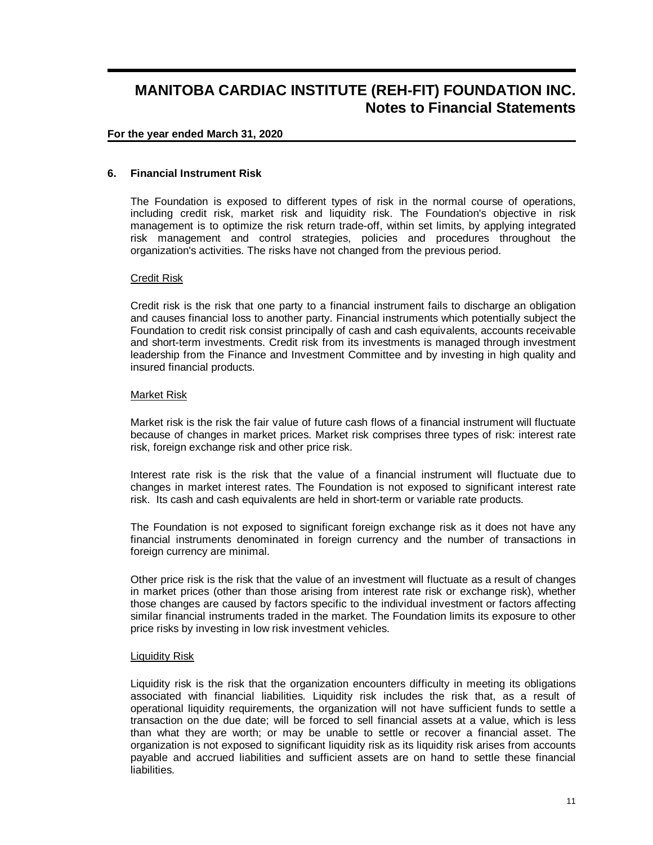#### **For the year ended March 31, 2020**

#### **6. Financial Instrument Risk**

The Foundation is exposed to different types of risk in the normal course of operations, including credit risk, market risk and liquidity risk. The Foundation's objective in risk management is to optimize the risk return trade-off, within set limits, by applying integrated risk management and control strategies, policies and procedures throughout the organization's activities. The risks have not changed from the previous period.

#### Credit Risk

Credit risk is the risk that one party to a financial instrument fails to discharge an obligation and causes financial loss to another party. Financial instruments which potentially subject the Foundation to credit risk consist principally of cash and cash equivalents, accounts receivable and short-term investments. Credit risk from its investments is managed through investment leadership from the Finance and Investment Committee and by investing in high quality and insured financial products.

#### Market Risk

Market risk is the risk the fair value of future cash flows of a financial instrument will fluctuate because of changes in market prices. Market risk comprises three types of risk: interest rate risk, foreign exchange risk and other price risk.

Interest rate risk is the risk that the value of a financial instrument will fluctuate due to changes in market interest rates. The Foundation is not exposed to significant interest rate risk. Its cash and cash equivalents are held in short-term or variable rate products.

The Foundation is not exposed to significant foreign exchange risk as it does not have any financial instruments denominated in foreign currency and the number of transactions in foreign currency are minimal.

Other price risk is the risk that the value of an investment will fluctuate as a result of changes in market prices (other than those arising from interest rate risk or exchange risk), whether those changes are caused by factors specific to the individual investment or factors affecting similar financial instruments traded in the market. The Foundation limits its exposure to other price risks by investing in low risk investment vehicles.

#### Liquidity Risk

Liquidity risk is the risk that the organization encounters difficulty in meeting its obligations associated with financial liabilities. Liquidity risk includes the risk that, as a result of operational liquidity requirements, the organization will not have sufficient funds to settle a transaction on the due date; will be forced to sell financial assets at a value, which is less than what they are worth; or may be unable to settle or recover a financial asset. The organization is not exposed to significant liquidity risk as its liquidity risk arises from accounts payable and accrued liabilities and sufficient assets are on hand to settle these financial liabilities.